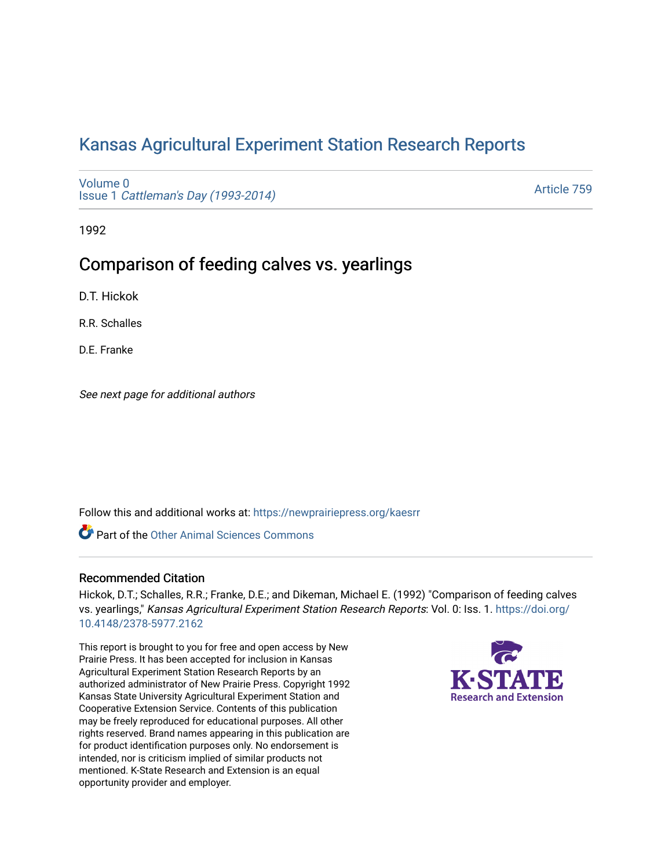# [Kansas Agricultural Experiment Station Research Reports](https://newprairiepress.org/kaesrr)

[Volume 0](https://newprairiepress.org/kaesrr/vol0) Issue 1 [Cattleman's Day \(1993-2014\)](https://newprairiepress.org/kaesrr/vol0/iss1) 

[Article 759](https://newprairiepress.org/kaesrr/vol0/iss1/759) 

1992

## Comparison of feeding calves vs. yearlings

D.T. Hickok

R.R. Schalles

D.E. Franke

See next page for additional authors

Follow this and additional works at: [https://newprairiepress.org/kaesrr](https://newprairiepress.org/kaesrr?utm_source=newprairiepress.org%2Fkaesrr%2Fvol0%2Fiss1%2F759&utm_medium=PDF&utm_campaign=PDFCoverPages) 

**Part of the [Other Animal Sciences Commons](http://network.bepress.com/hgg/discipline/82?utm_source=newprairiepress.org%2Fkaesrr%2Fvol0%2Fiss1%2F759&utm_medium=PDF&utm_campaign=PDFCoverPages)** 

## Recommended Citation

Hickok, D.T.; Schalles, R.R.; Franke, D.E.; and Dikeman, Michael E. (1992) "Comparison of feeding calves vs. yearlings," Kansas Agricultural Experiment Station Research Reports: Vol. 0: Iss. 1. [https://doi.org/](https://doi.org/10.4148/2378-5977.2162) [10.4148/2378-5977.2162](https://doi.org/10.4148/2378-5977.2162)

This report is brought to you for free and open access by New Prairie Press. It has been accepted for inclusion in Kansas Agricultural Experiment Station Research Reports by an authorized administrator of New Prairie Press. Copyright 1992 Kansas State University Agricultural Experiment Station and Cooperative Extension Service. Contents of this publication may be freely reproduced for educational purposes. All other rights reserved. Brand names appearing in this publication are for product identification purposes only. No endorsement is intended, nor is criticism implied of similar products not mentioned. K-State Research and Extension is an equal opportunity provider and employer.

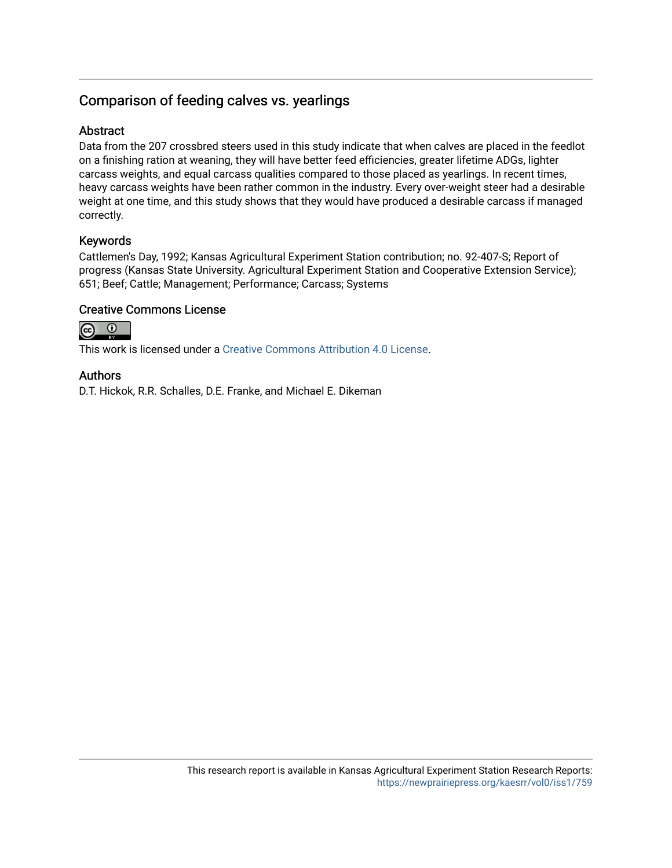## Comparison of feeding calves vs. yearlings

## Abstract

Data from the 207 crossbred steers used in this study indicate that when calves are placed in the feedlot on a finishing ration at weaning, they will have better feed efficiencies, greater lifetime ADGs, lighter carcass weights, and equal carcass qualities compared to those placed as yearlings. In recent times, heavy carcass weights have been rather common in the industry. Every over-weight steer had a desirable weight at one time, and this study shows that they would have produced a desirable carcass if managed correctly.

## Keywords

Cattlemen's Day, 1992; Kansas Agricultural Experiment Station contribution; no. 92-407-S; Report of progress (Kansas State University. Agricultural Experiment Station and Cooperative Extension Service); 651; Beef; Cattle; Management; Performance; Carcass; Systems

## Creative Commons License



This work is licensed under a [Creative Commons Attribution 4.0 License](https://creativecommons.org/licenses/by/4.0/).

## Authors

D.T. Hickok, R.R. Schalles, D.E. Franke, and Michael E. Dikeman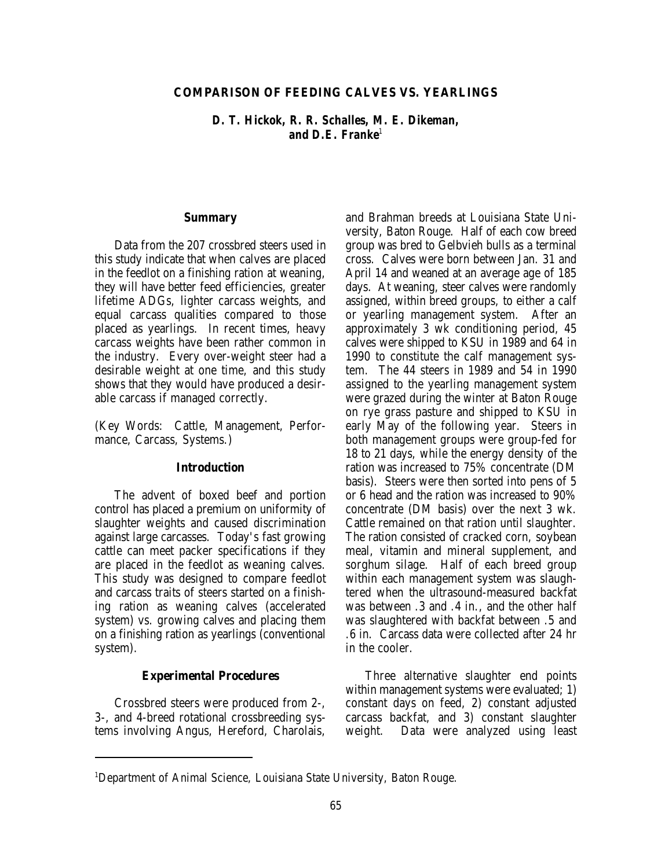#### **COMPARISON OF FEEDING CALVES VS. YEARLINGS**

*D. T. Hickok, R. R. Schalles, M. E. Dikeman, and D.E. Franke<sup>1</sup>*

#### **Summary**

Data from the 207 crossbred steers used in this study indicate that when calves are placed in the feedlot on a finishing ration at weaning, they will have better feed efficiencies, greater lifetime ADGs, lighter carcass weights, and equal carcass qualities compared to those placed as yearlings. In recent times, heavy carcass weights have been rather common in the industry. Every over-weight steer had a desirable weight at one time, and this study shows that they would have produced a desirable carcass if managed correctly.

(Key Words: Cattle, Management, Performance, Carcass, Systems.)

#### **Introduction**

The advent of boxed beef and portion control has placed a premium on uniformity of slaughter weights and caused discrimination against large carcasses. Today's fast growing cattle can meet packer specifications if they are placed in the feedlot as weaning calves. This study was designed to compare feedlot and carcass traits of steers started on a finishing ration as weaning calves (accelerated system) vs. growing calves and placing them on a finishing ration as yearlings (conventional system).

#### **Experimental Procedures**

Crossbred steers were produced from 2-, 3-, and 4-breed rotational crossbreeding systems involving Angus, Hereford, Charolais, and Brahman breeds at Louisiana State University, Baton Rouge. Half of each cow breed group was bred to Gelbvieh bulls as a terminal cross. Calves were born between Jan. 31 and April 14 and weaned at an average age of 185 days. At weaning, steer calves were randomly assigned, within breed groups, to either a calf or yearling management system. After an approximately 3 wk conditioning period, 45 calves were shipped to KSU in 1989 and 64 in 1990 to constitute the calf management system. The 44 steers in 1989 and 54 in 1990 assigned to the yearling management system were grazed during the winter at Baton Rouge on rye grass pasture and shipped to KSU in early May of the following year. Steers in both management groups were group-fed for 18 to 21 days, while the energy density of the ration was increased to 75% concentrate (DM basis). Steers were then sorted into pens of 5 or 6 head and the ration was increased to 90% concentrate (DM basis) over the next 3 wk. Cattle remained on that ration until slaughter. The ration consisted of cracked corn, soybean meal, vitamin and mineral supplement, and sorghum silage. Half of each breed group within each management system was slaughtered when the ultrasound-measured backfat was between .3 and .4 in., and the other half was slaughtered with backfat between .5 and .6 in. Carcass data were collected after 24 hr in the cooler.

Three alternative slaughter end points within management systems were evaluated; 1) constant days on feed, 2) constant adjusted carcass backfat, and 3) constant slaughter weight. Data were analyzed using least

<sup>&</sup>lt;sup>1</sup>Department of Animal Science, Louisiana State University, Baton Rouge.